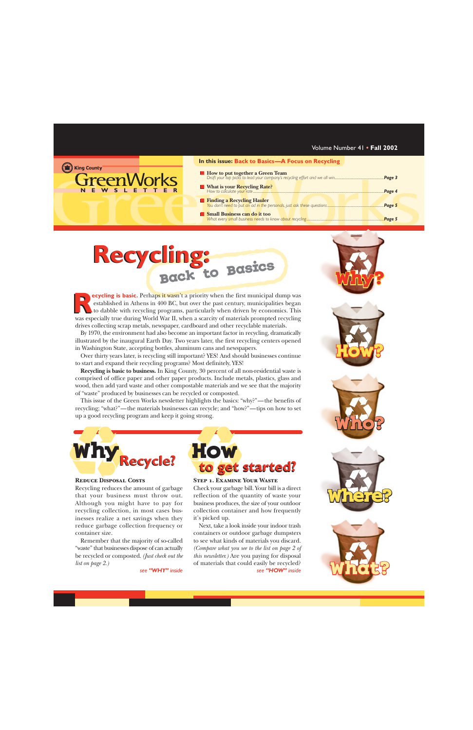|   | In this issue: Back to Basics-A Focus on Recycling |        |
|---|----------------------------------------------------|--------|
|   |                                                    |        |
| R |                                                    | Page 4 |
|   |                                                    |        |
|   | Small Business can do it too                       |        |
|   |                                                    |        |

## **Back to Basics Recycling: Recycling:**

**ecycling is basic.** Perhaps it wasn't a priority when the first municipal dump was established in Athens in 400 BC, but over the past century, municipalities began to dabble with recycling programs, particularly when driven by economics. This **Properting is basic.** Perhaps it wasn't a priority when the first municipal dump was established in Athens in 400 BC, but over the past century, municipalities began to dabble with recycling programs, particularly when dr drives collecting scrap metals, newspaper, cardboard and other recyclable materials.

By 1970, the environment had also become an important factor in recycling, dramatically illustrated by the inaugural Earth Day. Two years later, the first recycling centers opened in Washington State, accepting bottles, aluminum cans and newspapers.

Over thirty years later, is recycling still important? YES! And should businesses continue to start and expand their recycling programs? Most definitely, YES!

**Recycling is basic to business.** In King County, 30 percent of all non-residential waste is comprised of office paper and other paper products. Include metals, plastics, glass and wood, then add yard waste and other compostable materials and we see that the majority of "waste" produced by businesses can be recycled or composted.

This issue of the Green Works newsletter highlights the basics: "why?"—the benefits of recycling; "what?"—the materials businesses can recycle; and "how?"—tips on how to set up a good recycling program and keep it going strong.









**WSLETT** 

eenV

(the King County

### **REDUCE DISPOSAL COSTS**

Recycling reduces the amount of garbage that your business must throw out. Although you might have to pay for recycling collection, in most cases businesses realize a net savings when they reduce garbage collection frequency or container size.

Remember that the majority of so-called "waste" that businesses dispose of can actually be recycled or composted. *[\(Just check out the](#page-1-0) [list on page 2.\)](#page-1-0)*

*see ["WHY"](#page-1-0) inside*



### **Step 1. Examine Your Waste**

Check your garbage bill. Your bill is a direct reflection of the quantity of waste your business produces, the size of your outdoor collection container and how frequently it's picked up.

Next, take a look inside your indoor trash containers or outdoor garbage dumpsters to see what kinds of materials you discard. *[\(Compare what you see to the list on page 2 of](#page-1-0) [this newsletter.\)](#page-1-0)* Are you paying for disposal of materials that could easily be recycled? *see ["HOW"](#page-1-0) inside*



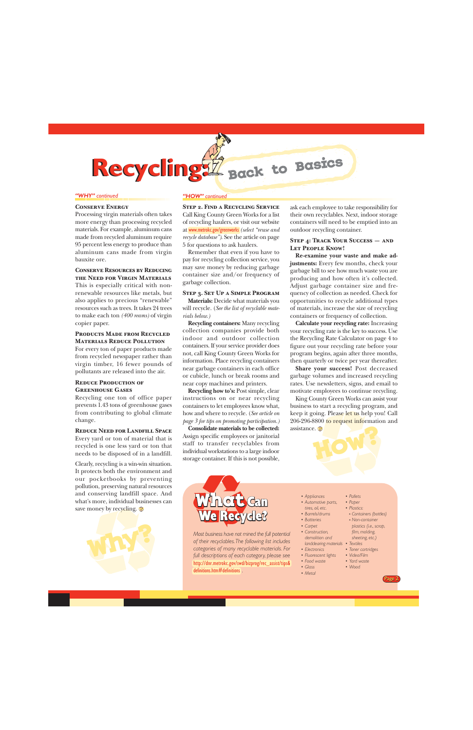<span id="page-1-0"></span>**Recycling: Recycling:**

#### *"WHY" continued*

### **Conserve Energy**

Processing virgin materials often takes more energy than processing recycled materials. For example, aluminum cans made from recycled aluminum require 95 percent less energy to produce than aluminum cans made from virgin bauxite ore.

### **Conserve Resources by Reducing the Need for Virgin Materials**

This is especially critical with nonrenewable resources like metals, but also applies to precious "renewable" resources such as trees. It takes 24 trees to make each ton *(400 reams)* of virgin copier paper.

### **Products Made from Recycled Materials Reduce Pollution**

For every ton of paper products made from recycled newspaper rather than virgin timber, 16 fewer pounds of pollutants are released into the air.

### **REDUCE PRODUCTION OF Greenhouse Gases**

Recycling one ton of office paper prevents 1.43 tons of greenhouse gases from contributing to global climate change.

### **Reduce Need for Landfill Space**

Every yard or ton of material that is recycled is one less yard or ton that needs to be disposed of in a landfill.

Clearly, recycling is a win-win situation. It protects both the environment and our pocketbooks by preventing pollution, preserving natural resources and conserving landfill space. And what's more, individual businesses can save money by recycling.



#### *"HOW" continued*

**Step 2. Find a Recycling Service** Call King County Green Works for a list of recycling haulers, or visit our website at [www.metrokc.gov/greenworks](http://www.metrokc.gov/greenworks) *(select "reuse and recycle database")*. See the article on page 5 for questions to ask haulers.

**Back to Basics**

Remember that even if you have to pay for recycling collection service, you may save money by reducing garbage container size and/or frequency of garbage collection.

### **Step 3. Set Up a Simple Program**

**Materials:** Decide what materials you will recycle. (*See the list of recyclable materials below.)*

**Recycling containers:** Many recycling collection companies provide both indoor and outdoor collection containers. If your service provider does not, call King County Green Works for information. Place recycling containers near garbage containers in each office or cubicle, lunch or break rooms and near copy machines and printers.

**Recycling how to's:** Post simple, clear instructions on or near recycling containers to let employees know what, how and where to recycle. (*[See article on](#page-2-0) [page 3 for tips on promoting participation.\)](#page-2-0)*

**Consolidate materials to be collected:** Assign specific employees or janitorial staff to transfer recyclables from individual workstations to a large indoor storage container. If this is not possible,

ask each employee to take responsibility for their own recyclables. Next, indoor storage containers will need to be emptied into an outdoor recycling container.

### **Step 4: Track Your Success — and Let People Know!**

**Re-examine your waste and make adjustments:** Every few months, check your garbage bill to see how much waste you are producing and how often it's collected. Adjust garbage container size and frequency of collection as needed. Check for opportunities to recycle additional types of materials, increase the size of recycling containers or frequency of collection.

**Calculate your recycling rate:** Increasing your recycling rate is the key to success. Use the Recycling Rate Calculator on page 4 to figure out your recycling rate before your program begins, again after three months, then quarterly or twice per year thereafter.

**Share your success!** Post decreased garbage volumes and increased recycling rates. Use newsletters, signs, and email to motivate employees to continue recycling.

King County Green Works can assist your business to start a recycling program, and keep it going. Please let us help you! Call 206-296-8800 to request information and assistance.





*Most business have not mined the full potential of their recyclables. The following list includes categories of many recyclable materials. For full descriptions of each category, please see* [http://dnr.metrokc.gov/swd/bizprog/rec\\_assist/tips&](http://dnr.metrokc.gov/swd/bizprog/rec_assist/tips&definitions.htm#definitions) [definitions.htm#definitions](http://dnr.metrokc.gov/swd/bizprog/rec_assist/tips&definitions.htm#definitions) *.*

- *• Appliances*
- *• Automotive parts,*
- *tires, oil, etc. • Barrels/drums*
- *• Batteries*
- *Carpet*
- *Construction,*
- *demolition and landclearing materials • Textiles*
- *• Electronics*
- *• Fluorescent lights • Food waste*
	- *Yard waste*
		- *Wood*

*• Pallets • Paper • Plastics:*

*Containers (bottles) Non-container plastics (i.e., scrap, film, molding, sheeting, etc.) • Toner cartridges • Video/Film*

*• Metal*

*• Glass*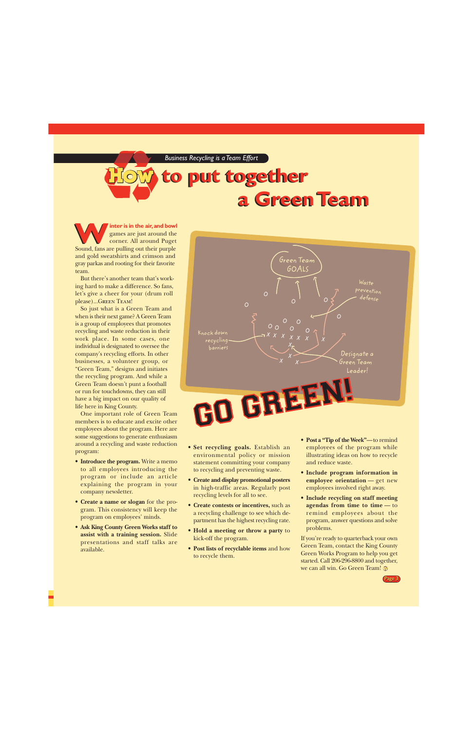### <span id="page-2-0"></span>**How a Green Team a Green Team to put together to put together**

**inter is in the air, and bowl** games are just around the corner. All around Puget **WE ARE SOUNDED Sound, fans are pulling out their purple** and gold sweatshirts and crimson and gray parkas and rooting for their favorite team.

But there's another team that's working hard to make a difference. So fans, let's give a cheer for your (drum roll please)...GREEN TEAM!

So just what is a Green Team and when is their next game? A Green Team is a group of employees that promotes recycling and waste reduction in their work place. In some cases, one individual is designated to oversee the company's recycling efforts. In other businesses, a volunteer group, or "Green Team," designs and initiates the recycling program. And while a Green Team doesn't punt a football or run for touchdowns, they can still have a big impact on our quality of life here in King County.

One important role of Green Team members is to educate and excite other employees about the program. Here are some suggestions to generate enthusiasm around a recycling and waste reduction program:

- **Introduce the program.** Write a memo to all employees introducing the program or include an article explaining the program in your company newsletter.
- **Create a name or slogan** for the program. This consistency will keep the program on employees' minds.
- **Ask King County Green Works staff to assist with a training session.** Slide presentations and staff talks are available.



- **Set recycling goals.** Establish an environmental policy or mission statement committing your company to recycling and preventing waste.
- **Create and display promotional posters** in high-traffic areas. Regularly post recycling levels for all to see.
- **Create contests or incentives,** such as a recycling challenge to see which department has the highest recycling rate.
- **Hold a meeting or throw a party** to kick-off the program.
- **Post lists of recyclable items** and how to recycle them.
- **Post a "Tip of the Week"**—to remind employees of the program while illustrating ideas on how to recycle and reduce waste.
- **Include program information in employee orientation** — get new employees involved right away.
- **Include recycling on staff meeting agendas from time to time** — to remind employees about the program, answer questions and solve problems.

If you're ready to quarterback your own Green Team, contact the King County Green Works Program to help you get started. Call 206-296-8800 and together, we can all win. Go Green Team! ®

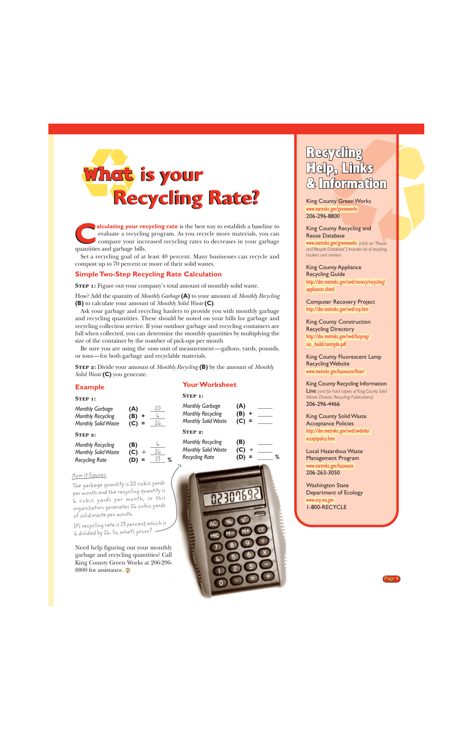<span id="page-3-0"></span>

**alculating your recycling rate** is the best way to establish a baseline to evaluate a recycling program. As you recycle more materials, you can compare your increased recycling rates to decreases in your garbage **alculating your re**<br>
evaluate a recyclin<br>
compare your incr<br>
quantities and garbage bills.

Set a recycling goal of at least 40 percent. Many businesses can recycle and compost up to 70 percent or more of their solid wastes.

### **Simple Two-Step Recycling Rate Calculation**

**STEP 1:** Figure out your company's total amount of monthly solid waste.

How? Add the quantity of *Monthly Garbage* **(A)** to your amount of *Monthly Recycling* **(B)** to calculate your amount of *Monthly Solid Waste* **(C)**.

Ask your garbage and recycling haulers to provide you with monthly garbage and recycling quantities. These should be noted on your bills for garbage and recycling collection service. If your outdoor garbage and recycling containers are full when collected, you can determine the monthly quantities by multiplying the size of the container by the number of pick-ups per month

Be sure you are using the *same* unit of measurement—gallons, yards, pounds, or tons—for both garbage and recyclable materials.

**Step 2:** Divide your amount of *Monthly Recycling* **(B)** by the amount of *Monthly Solid Waste* **(C)** you generate.

### **Example**

### **STEP 1:**

| <b>Monthly Garbage</b><br><b>Monthly Recycling</b><br>Monthly Solid Waste | (A)<br>(B)<br>(C)      | 20<br>26 |
|---------------------------------------------------------------------------|------------------------|----------|
| STEP 2:                                                                   |                        |          |
| <b>Monthly Recycling</b><br>Monthly Solid Waste<br><b>Recycling Rate</b>  | (B)<br>(C)<br>÷<br>(D) | 26<br>23 |

### How it figures:

The garbage quantity is 20 cubic yards per month and the recycling quantity is 6 cubic yards per month, so this organization generates 26 cubic yards of solid waste per month.

It's recycling rate is 23 percent, which is 6 divided by 26. So, what's yours?

Need help figuring out your monthly garbage and recycling quantities? Call King County Green Works at 206-296- 8800 for assistance.

### **Your Worksheet**

| <b>Monthly Garbage</b><br><b>Monthly Recycling</b><br>Monthly Solid Waste | (A)<br>(B)<br>٠<br>(C)<br>$\equiv$ |
|---------------------------------------------------------------------------|------------------------------------|
| STEP 2:                                                                   |                                    |
| <b>Monthly Recycling</b><br>Monthly Solid Waste<br><b>Recycling Rate</b>  | (B)<br>(C)<br>÷                    |



### **Recycli** Help, Links **tormation**

King County Green Works [www.metrokc.gov/greenworks](http://www.metrokc.gov/greenworks) 206-296-8800

King County Recycling and Reuse Database

[www.metrokc.gov/greenworks](http://www.metrokc.gov/greenworks) *(click on "Reuse and Recycle Database") Includes list of recycling haulers and centers*

King County Appliance Recycling Guide [http://dnr.metrokc.gov/swd/resrecy/recycling/](http://dnr.metrokc.gov/swd/resrecy/recycling/appliances.shtml) [appliances.shtml](http://dnr.metrokc.gov/swd/resrecy/recycling/appliances.shtml)

Computer Recovery Project <http://dnr.metrokc.gov/swd/crp.htm>

### King County Construction Recycling Directory [http://dnr.metrokc.gov/swd/bizprog/](http://dnr.metrokc.gov/swd/bizprog/sus_build/contrgde.pdf) sus build/contrgde.pdf

King County Fluorescent Lamp Recycling Website [www.metrokc.gov/hazwaste/fluor/](http://www.metrokc.gov/hazwaste/fluor/)

### King County Recycling Information

Line *(and for hard copies of King County Solid Waste Division Recycling Publications)* 206-296-4466

King County Solid Waste Acceptance Policies [http://dnr.metrokc.gov/swd/swdinfo/](http://dnr.metrokc.gov/swd/swdinfo/acceptpolicy.htm) [acceptpolicy.htm](http://dnr.metrokc.gov/swd/swdinfo/acceptpolicy.htm)

Local Hazardous Waste Management Program [www.metrokc.gov/hazwaste](http://www.metrokc.gov/hazwaste) 206-263-3050

Washington State Department of Ecology [www.ecy.wa.gov](http://www.ecy.wa.gov) 1-800-RECYCLE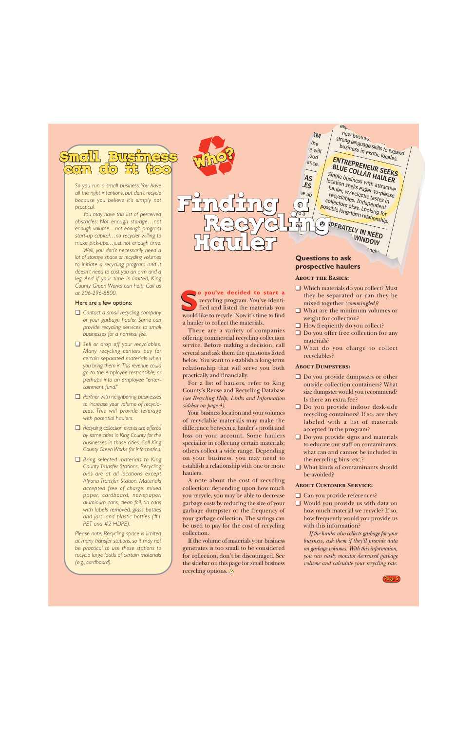<span id="page-4-0"></span>

*So you run a small business. You have all the right intentions, but don't recycle because you believe it's simply not practical.*

*You may have this list of perceived obstacles: Not enough storage…not enough volume…not enough program start-up capital…no recycler willing to make pick-ups…just not enough time.*

*Well, you don't necessarily need a lot of storage space or recycling volumes to initiate a recycling program and it doesn't need to cost you an arm and a leg. And if your time is limited, King County Green Works can help. Call us at 206-296-8800.*

### Here are a few options:

- ❏ *Contact a small recycling company or your garbage hauler. Some can provide recycling services to small businesses for a nominal fee.*
- ❏ *Sell or drop off your recyclables. Many recycling centers pay for certain separated materials when you bring them in. This revenue could go to the employee responsible, or perhaps into an employee "entertainment fund."*
- ❏ *Partner with neighboring businesses to increase your volume of recyclables. This will provide leverage with potential haulers.*
- ❏ *Recycling collection events are offered by some cities in King County for the businesses in those cities. Call King County Green Works for information.*
- ❏ *Bring selected materials to King County Transfer Stations. Recycling bins are at all locations except Algona Transfer Station. Materials accepted free of charge: mixed paper, cardboard, newspaper, aluminum cans, clean foil, tin cans with labels removed, glass bottles and jars, and plastic bottles (#1 PET and #2 HDPE).*

*Please note: Recycling space is limited at many transfer stations, so it may not be practical to use these stations to recycle large loads of certain materials (e.g., cardboard).*



**o you've decided to start a** recycling program. You've identified and listed the materials you so **you've decided to start a** recycling program. You've identified and listed the materials you would like to recycle. Now it's time to find

There are a variety of companies offering commercial recycling collection service. Before making a decision, call several and ask them the questions listed below. You want to establish a long-term relationship that will serve you both

For a list of haulers, refer to King County's Reuse and Recycling Database *[\(see Recycling Help, Links and Information](#page-3-0)*

Your business location and your volumes of recyclable materials may make the difference between a hauler's profit and loss on your account. Some haulers specialize in collecting certain materials; others collect a wide range. Depending on your business, you may need to establish a relationship with one or more

A note about the cost of recycling collection: depending upon how much you recycle, you may be able to decrease garbage costs by reducing the size of your garbage dumpster or the frequency of your garbage collection. The savings can be used to pay for the cost of recycling

If the volume of materials your business generates is too small to be considered for collection, don't be discouraged. See the sidebar on this page for small business

a hauler to collect the materials.

practically and financially.

*sidebar on page 4).*

haulers.

collection.

recycling options.

### n<sub>el</sub>, strong to ask<br>**Questions to ask**<br>prospective haulers **prospective haulers**

### **About the Basics:**

- ❏ Which materials do you collect? Must they be separated or can they be mixed together *(commingled)*?
- ❏ What are the minimum volumes or weight for collection?
- ❏ How frequently do you collect?
- ❏ Do you offer free collection for any materials?
- ❏ What do you charge to collect recyclables?

### **About Dumpsters:**

- ❏ Do you provide dumpsters or other outside collection containers? What size dumpster would you recommend? Is there an extra fee?
- ❏ Do you provide indoor desk-side recycling containers? If so, are they labeled with a list of materials accepted in the program?
- ❏ Do you provide signs and materials to educate our staff on contaminants, what can and cannot be included in the recycling bins, etc.?
- ❏ What kinds of contaminants should be avoided?

### **About Customer Service:**

- ❏ Can you provide references?
- ❏ Would you provide us with data on how much material we recycle? If so, how frequently would you provide us with this information?

*If the hauler also collects garbage for your business, ask them if they'll provide data on garbage volumes. With this information, you can easily monitor decreased garbage volume and calculate your recycling rate.*

Page 5